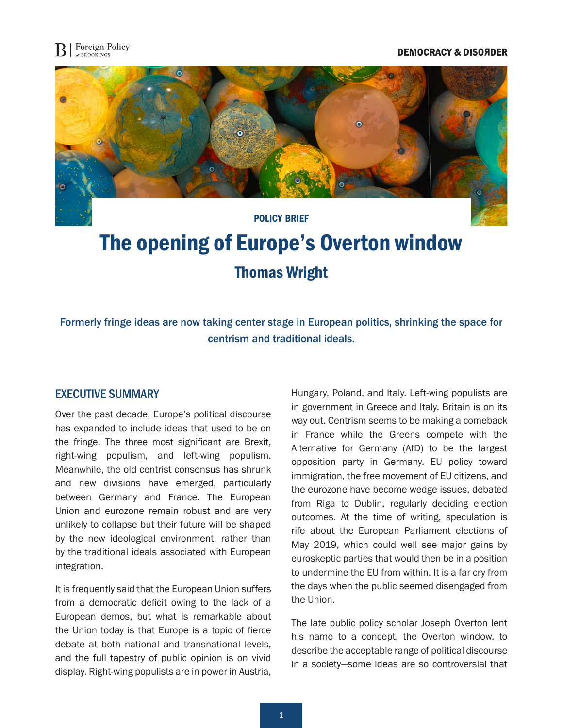## **DEMOCRACY & DISOЯDER**



# The opening of Europe's Overton window Thomas Wright

Formerly fringe ideas are now taking center stage in European politics, shrinking the space for centrism and traditional ideals.

## EXECUTIVE SUMMARY

Over the past decade, Europe's political discourse has expanded to include ideas that used to be on the fringe. The three most significant are Brexit, right-wing populism, and left-wing populism. Meanwhile, the old centrist consensus has shrunk and new divisions have emerged, particularly between Germany and France. The European Union and eurozone remain robust and are very unlikely to collapse but their future will be shaped by the new ideological environment, rather than by the traditional ideals associated with European integration.

It is frequently said that the European Union suffers from a democratic deficit owing to the lack of a European demos, but what is remarkable about the Union today is that Europe is a topic of fierce debate at both national and transnational levels, and the full tapestry of public opinion is on vivid display. Right-wing populists are in power in Austria,

Hungary, Poland, and Italy. Left-wing populists are in government in Greece and Italy. Britain is on its way out. Centrism seems to be making a comeback in France while the Greens compete with the Alternative for Germany (AfD) to be the largest opposition party in Germany. EU policy toward immigration, the free movement of EU citizens, and the eurozone have become wedge issues, debated from Riga to Dublin, regularly deciding election outcomes. At the time of writing, speculation is rife about the European Parliament elections of May 2019, which could well see major gains by euroskeptic parties that would then be in a position to undermine the EU from within. It is a far cry from the days when the public seemed disengaged from the Union.

The late public policy scholar Joseph Overton lent his name to a concept, the Overton window, to describe the acceptable range of political discourse in a society—some ideas are so controversial that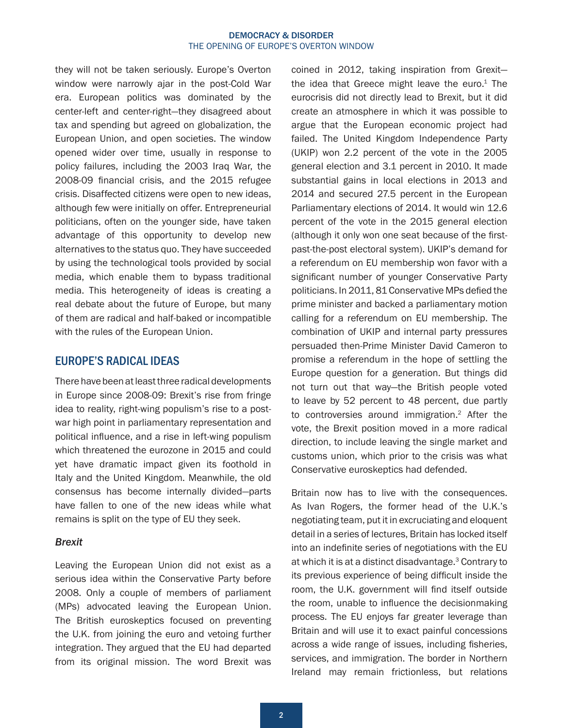<span id="page-1-0"></span>they will not be taken seriously. Europe's Overton window were narrowly ajar in the post-Cold War era. European politics was dominated by the center-left and center-right—they disagreed about tax and spending but agreed on globalization, the European Union, and open societies. The window opened wider over time, usually in response to policy failures, including the 2003 Iraq War, the 2008-09 financial crisis, and the 2015 refugee crisis. Disaffected citizens were open to new ideas, although few were initially on offer. Entrepreneurial politicians, often on the younger side, have taken advantage of this opportunity to develop new alternatives to the status quo. They have succeeded by using the technological tools provided by social media, which enable them to bypass traditional media. This heterogeneity of ideas is creating a real debate about the future of Europe, but many of them are radical and half-baked or incompatible with the rules of the European Union.

## EUROPE'S RADICAL IDEAS

There have been at least three radical developments in Europe since 2008-09: Brexit's rise from fringe idea to reality, right-wing populism's rise to a postwar high point in parliamentary representation and political influence, and a rise in left-wing populism which threatened the eurozone in 2015 and could yet have dramatic impact given its foothold in Italy and the United Kingdom. Meanwhile, the old consensus has become internally divided—parts have fallen to one of the new ideas while what remains is split on the type of EU they seek.

### *Brexit*

Leaving the European Union did not exist as a serious idea within the Conservative Party before 2008. Only a couple of members of parliament (MPs) advocated leaving the European Union. The British euroskeptics focused on preventing the U.K. from joining the euro and vetoing further integration. They argued that the EU had departed from its original mission. The word Brexit was

coined in 2012, taking inspiration from Grexit the idea that Greece might leave the euro. $1$  The eurocrisis did not directly lead to Brexit, but it did create an atmosphere in which it was possible to argue that the European economic project had failed. The United Kingdom Independence Party (UKIP) won 2.2 percent of the vote in the 2005 general election and 3.1 percent in 2010. It made substantial gains in local elections in 2013 and 2014 and secured 27.5 percent in the European Parliamentary elections of 2014. It would win 12.6 percent of the vote in the 2015 general election (although it only won one seat because of the firstpast-the-post electoral system). UKIP's demand for a referendum on EU membership won favor with a significant number of younger Conservative Party politicians. In 2011, 81 Conservative MPs defied the prime minister and backed a parliamentary motion calling for a referendum on EU membership. The combination of UKIP and internal party pressures persuaded then-Prime Minister David Cameron to promise a referendum in the hope of settling the Europe question for a generation. But things did not turn out that way—the British people voted to leave by 52 percent to 48 percent, due partly to controversies around immigration[.2](#page-6-0) After the vote, the Brexit position moved in a more radical direction, to include leaving the single market and customs union, which prior to the crisis was what Conservative euroskeptics had defended.

Britain now has to live with the consequences. As Ivan Rogers, the former head of the U.K.'s negotiating team, put it in excruciating and eloquent detail in a series of lectures, Britain has locked itself into an indefinite series of negotiations with the EU at which it is at a distinct disadvantage.[3](#page-6-0) Contrary to its previous experience of being difficult inside the room, the U.K. government will find itself outside the room, unable to influence the decisionmaking process. The EU enjoys far greater leverage than Britain and will use it to exact painful concessions across a wide range of issues, including fisheries, services, and immigration. The border in Northern Ireland may remain frictionless, but relations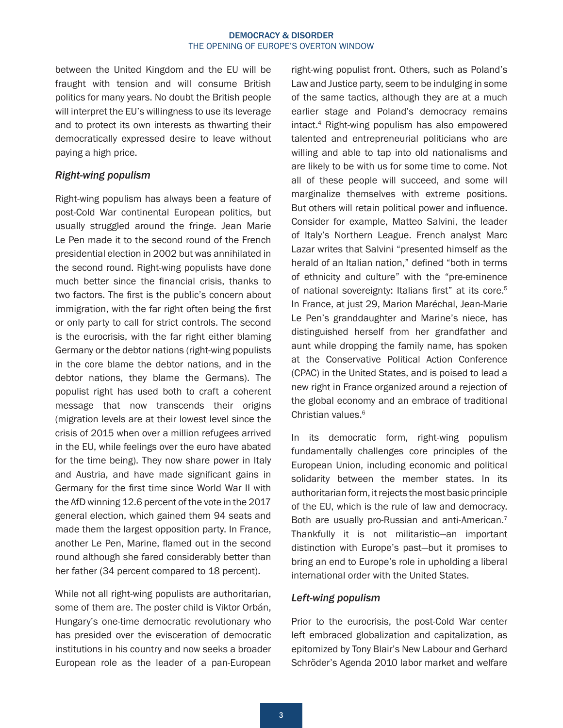<span id="page-2-0"></span>between the United Kingdom and the EU will be fraught with tension and will consume British politics for many years. No doubt the British people will interpret the EU's willingness to use its leverage and to protect its own interests as thwarting their democratically expressed desire to leave without paying a high price.

## *Right-wing populism*

Right-wing populism has always been a feature of post-Cold War continental European politics, but usually struggled around the fringe. Jean Marie Le Pen made it to the second round of the French presidential election in 2002 but was annihilated in the second round. Right-wing populists have done much better since the financial crisis, thanks to two factors. The first is the public's concern about immigration, with the far right often being the first or only party to call for strict controls. The second is the eurocrisis, with the far right either blaming Germany or the debtor nations (right-wing populists in the core blame the debtor nations, and in the debtor nations, they blame the Germans). The populist right has used both to craft a coherent message that now transcends their origins (migration levels are at their lowest level since the crisis of 2015 when over a million refugees arrived in the EU, while feelings over the euro have abated for the time being). They now share power in Italy and Austria, and have made significant gains in Germany for the first time since World War II with the AfD winning 12.6 percent of the vote in the 2017 general election, which gained them 94 seats and made them the largest opposition party. In France, another Le Pen, Marine, flamed out in the second round although she fared considerably better than her father (34 percent compared to 18 percent).

While not all right-wing populists are authoritarian, some of them are. The poster child is Viktor Orbán, Hungary's one-time democratic revolutionary who has presided over the evisceration of democratic institutions in his country and now seeks a broader European role as the leader of a pan-European

right-wing populist front. Others, such as Poland's Law and Justice party, seem to be indulging in some of the same tactics, although they are at a much earlier stage and Poland's democracy remains intact.[4](#page-6-0) Right-wing populism has also empowered talented and entrepreneurial politicians who are willing and able to tap into old nationalisms and are likely to be with us for some time to come. Not all of these people will succeed, and some will marginalize themselves with extreme positions. But others will retain political power and influence. Consider for example, Matteo Salvini, the leader of Italy's Northern League. French analyst Marc Lazar writes that Salvini "presented himself as the herald of an Italian nation," defined "both in terms of ethnicity and culture" with the "pre-eminence of national sovereignty: Italians first" at its core.<sup>5</sup> In France, at just 29, Marion Maréchal, Jean-Marie Le Pen's granddaughter and Marine's niece, has distinguished herself from her grandfather and aunt while dropping the family name, has spoken at the Conservative Political Action Conference (CPAC) in the United States, and is poised to lead a new right in France organized around a rejection of the global economy and an embrace of traditional Christian values.<sup>[6](#page-6-0)</sup>

In its democratic form, right-wing populism fundamentally challenges core principles of the European Union, including economic and political solidarity between the member states. In its authoritarian form, it rejects the most basic principle of the EU, which is the rule of law and democracy. Both are usually pro-Russian and anti-American.<sup>[7](#page-6-0)</sup> Thankfully it is not militaristic—an important distinction with Europe's past—but it promises to bring an end to Europe's role in upholding a liberal international order with the United States.

## *Left-wing populism*

Prior to the eurocrisis, the post-Cold War center left embraced globalization and capitalization, as epitomized by Tony Blair's New Labour and Gerhard Schröder's Agenda 2010 labor market and welfare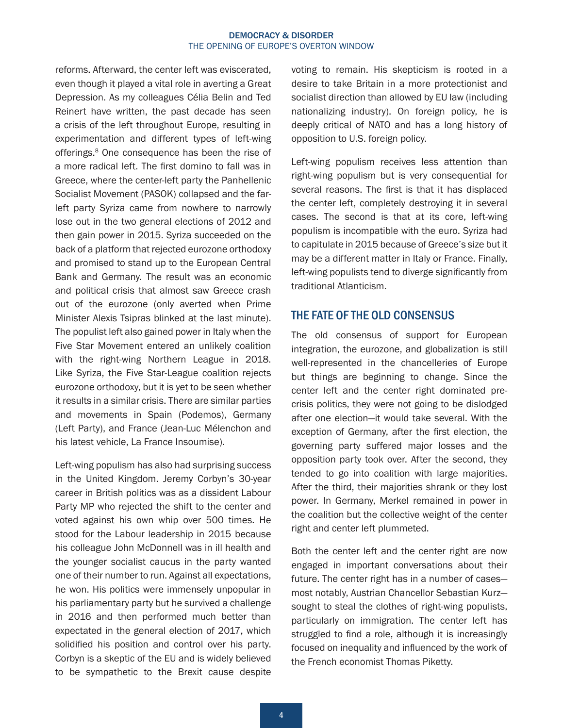<span id="page-3-0"></span>reforms. Afterward, the center left was eviscerated, even though it played a vital role in averting a Great Depression. As my colleagues Célia Belin and Ted Reinert have written, the past decade has seen a crisis of the left throughout Europe, resulting in experimentation and different types of left-wing offerings.<sup>8</sup> One consequence has been the rise of a more radical left. The first domino to fall was in Greece, where the center-left party the Panhellenic Socialist Movement (PASOK) collapsed and the farleft party Syriza came from nowhere to narrowly lose out in the two general elections of 2012 and then gain power in 2015. Syriza succeeded on the back of a platform that rejected eurozone orthodoxy and promised to stand up to the European Central Bank and Germany. The result was an economic and political crisis that almost saw Greece crash out of the eurozone (only averted when Prime Minister Alexis Tsipras blinked at the last minute). The populist left also gained power in Italy when the Five Star Movement entered an unlikely coalition with the right-wing Northern League in 2018. Like Syriza, the Five Star-League coalition rejects eurozone orthodoxy, but it is yet to be seen whether it results in a similar crisis. There are similar parties and movements in Spain (Podemos), Germany (Left Party), and France (Jean-Luc Mélenchon and his latest vehicle, La France Insoumise).

Left-wing populism has also had surprising success in the United Kingdom. Jeremy Corbyn's 30-year career in British politics was as a dissident Labour Party MP who rejected the shift to the center and voted against his own whip over 500 times. He stood for the Labour leadership in 2015 because his colleague John McDonnell was in ill health and the younger socialist caucus in the party wanted one of their number to run. Against all expectations, he won. His politics were immensely unpopular in his parliamentary party but he survived a challenge in 2016 and then performed much better than expectated in the general election of 2017, which solidified his position and control over his party. Corbyn is a skeptic of the EU and is widely believed to be sympathetic to the Brexit cause despite

voting to remain. His skepticism is rooted in a desire to take Britain in a more protectionist and socialist direction than allowed by EU law (including nationalizing industry). On foreign policy, he is deeply critical of NATO and has a long history of opposition to U.S. foreign policy.

Left-wing populism receives less attention than right-wing populism but is very consequential for several reasons. The first is that it has displaced the center left, completely destroying it in several cases. The second is that at its core, left-wing populism is incompatible with the euro. Syriza had to capitulate in 2015 because of Greece's size but it may be a different matter in Italy or France. Finally, left-wing populists tend to diverge significantly from traditional Atlanticism.

## THE FATE OF THE OLD CONSENSUS

The old consensus of support for European integration, the eurozone, and globalization is still well-represented in the chancelleries of Europe but things are beginning to change. Since the center left and the center right dominated precrisis politics, they were not going to be dislodged after one election—it would take several. With the exception of Germany, after the first election, the governing party suffered major losses and the opposition party took over. After the second, they tended to go into coalition with large majorities. After the third, their majorities shrank or they lost power. In Germany, Merkel remained in power in the coalition but the collective weight of the center right and center left plummeted.

Both the center left and the center right are now engaged in important conversations about their future. The center right has in a number of cases most notably, Austrian Chancellor Sebastian Kurz sought to steal the clothes of right-wing populists, particularly on immigration. The center left has struggled to find a role, although it is increasingly focused on inequality and influenced by the work of the French economist Thomas Piketty.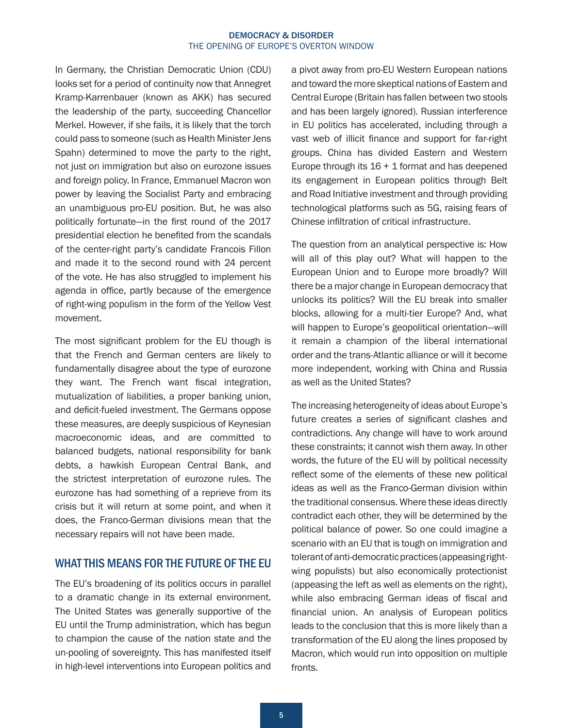In Germany, the Christian Democratic Union (CDU) looks set for a period of continuity now that Annegret Kramp-Karrenbauer (known as AKK) has secured the leadership of the party, succeeding Chancellor Merkel. However, if she fails, it is likely that the torch could pass to someone (such as Health Minister Jens Spahn) determined to move the party to the right, not just on immigration but also on eurozone issues and foreign policy. In France, Emmanuel Macron won power by leaving the Socialist Party and embracing an unambiguous pro-EU position. But, he was also politically fortunate—in the first round of the 2017 presidential election he benefited from the scandals of the center-right party's candidate Francois Fillon and made it to the second round with 24 percent of the vote. He has also struggled to implement his agenda in office, partly because of the emergence of right-wing populism in the form of the Yellow Vest movement.

The most significant problem for the EU though is that the French and German centers are likely to fundamentally disagree about the type of eurozone they want. The French want fiscal integration, mutualization of liabilities, a proper banking union, and deficit-fueled investment. The Germans oppose these measures, are deeply suspicious of Keynesian macroeconomic ideas, and are committed to balanced budgets, national responsibility for bank debts, a hawkish European Central Bank, and the strictest interpretation of eurozone rules. The eurozone has had something of a reprieve from its crisis but it will return at some point, and when it does, the Franco-German divisions mean that the necessary repairs will not have been made.

## WHAT THIS MEANS FOR THE FUTURE OF THE EU

The EU's broadening of its politics occurs in parallel to a dramatic change in its external environment. The United States was generally supportive of the EU until the Trump administration, which has begun to champion the cause of the nation state and the un-pooling of sovereignty. This has manifested itself in high-level interventions into European politics and

a pivot away from pro-EU Western European nations and toward the more skeptical nations of Eastern and Central Europe (Britain has fallen between two stools and has been largely ignored). Russian interference in EU politics has accelerated, including through a vast web of illicit finance and support for far-right groups. China has divided Eastern and Western Europe through its 16 + 1 format and has deepened its engagement in European politics through Belt and Road Initiative investment and through providing technological platforms such as 5G, raising fears of Chinese infiltration of critical infrastructure.

The question from an analytical perspective is: How will all of this play out? What will happen to the European Union and to Europe more broadly? Will there be a major change in European democracy that unlocks its politics? Will the EU break into smaller blocks, allowing for a multi-tier Europe? And, what will happen to Europe's geopolitical orientation—will it remain a champion of the liberal international order and the trans-Atlantic alliance or will it become more independent, working with China and Russia as well as the United States?

The increasing heterogeneity of ideas about Europe's future creates a series of significant clashes and contradictions. Any change will have to work around these constraints; it cannot wish them away. In other words, the future of the EU will by political necessity reflect some of the elements of these new political ideas as well as the Franco-German division within the traditional consensus. Where these ideas directly contradict each other, they will be determined by the political balance of power. So one could imagine a scenario with an EU that is tough on immigration and tolerant of anti-democratic practices (appeasing rightwing populists) but also economically protectionist (appeasing the left as well as elements on the right), while also embracing German ideas of fiscal and financial union. An analysis of European politics leads to the conclusion that this is more likely than a transformation of the EU along the lines proposed by Macron, which would run into opposition on multiple fronts.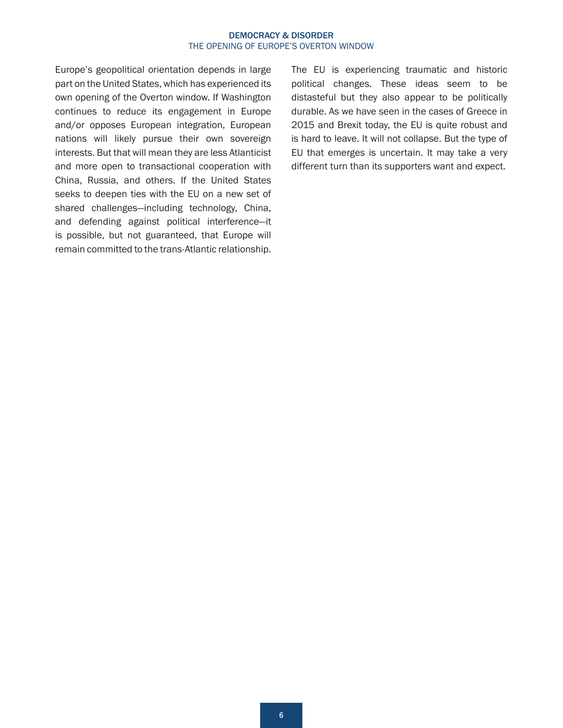Europe's geopolitical orientation depends in large part on the United States, which has experienced its own opening of the Overton window. If Washington continues to reduce its engagement in Europe and/or opposes European integration, European nations will likely pursue their own sovereign interests. But that will mean they are less Atlanticist and more open to transactional cooperation with China, Russia, and others. If the United States seeks to deepen ties with the EU on a new set of shared challenges—including technology, China, and defending against political interference—it is possible, but not guaranteed, that Europe will remain committed to the trans-Atlantic relationship.

The EU is experiencing traumatic and historic political changes. These ideas seem to be distasteful but they also appear to be politically durable. As we have seen in the cases of Greece in 2015 and Brexit today, the EU is quite robust and is hard to leave. It will not collapse. But the type of EU that emerges is uncertain. It may take a very different turn than its supporters want and expect.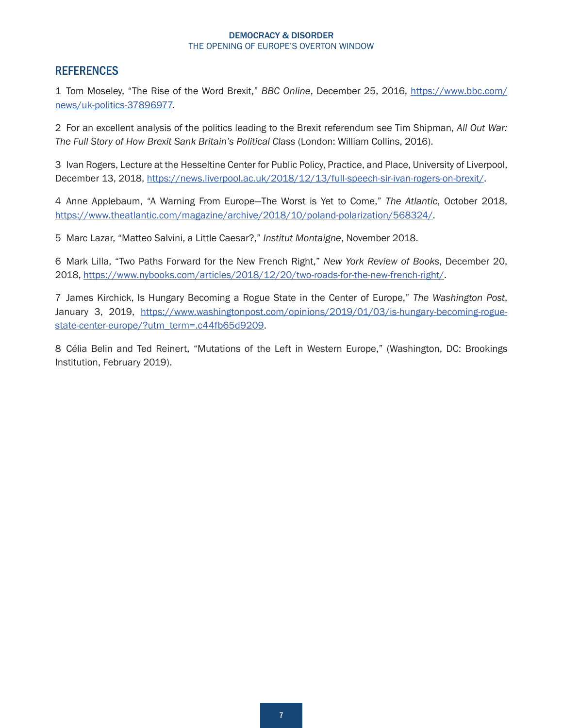# <span id="page-6-0"></span>**REFERENCES**

[1](#page-1-0) Tom Moseley, "The Rise of the Word Brexit," *BBC Online*, December 25, 2016, [https://www.bbc.com/](https://www.bbc.com/news/uk-politics-37896977) [news/uk-politics-37896977](https://www.bbc.com/news/uk-politics-37896977).

[2](#page-1-0) For an excellent analysis of the politics leading to the Brexit referendum see Tim Shipman, *All Out War: The Full Story of How Brexit Sank Britain's Political Class* (London: William Collins, 2016).

[3](#page-1-0) Ivan Rogers, Lecture at the Hesseltine Center for Public Policy, Practice, and Place, University of Liverpool, December 13, 2018, [https://news.liverpool.ac.uk/2018/12/13/full-speech-sir-ivan-rogers-on-brexit/.](https://news.liverpool.ac.uk/2018/12/13/full-speech-sir-ivan-rogers-on-brexit/)

[4](#page-2-0) Anne Applebaum, "A Warning From Europe—The Worst is Yet to Come," *The Atlantic*, October 2018, <https://www.theatlantic.com/magazine/archive/2018/10/poland-polarization/568324/>.

[5](#page-2-0) Marc Lazar, "Matteo Salvini, a Little Caesar?," *Institut Montaigne*, November 2018.

[6](#page-2-0) Mark Lilla, "Two Paths Forward for the New French Right," *New York Review of Books*, December 20, 2018, <https://www.nybooks.com/articles/2018/12/20/two-roads-for-the-new-french-right/>.

[7](#page-2-0) James Kirchick, Is Hungary Becoming a Rogue State in the Center of Europe," *The Washington Post*, January 3, 2019, [https://www.washingtonpost.com/opinions/2019/01/03/is-hungary-becoming-rogue](https://www.washingtonpost.com/opinions/2019/01/03/is-hungary-becoming-rogue-state-center-europe/?utm_term=.c44fb65d9209)[state-center-europe/?utm\\_term=.c44fb65d9209](https://www.washingtonpost.com/opinions/2019/01/03/is-hungary-becoming-rogue-state-center-europe/?utm_term=.c44fb65d9209).

[8](#page-3-0) Célia Belin and Ted Reinert, "Mutations of the Left in Western Europe," (Washington, DC: Brookings Institution, February 2019).